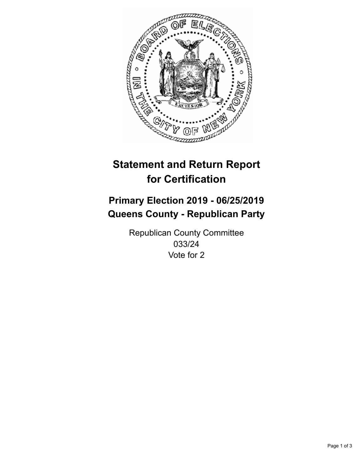

## **Statement and Return Report for Certification**

## **Primary Election 2019 - 06/25/2019 Queens County - Republican Party**

Republican County Committee 033/24 Vote for 2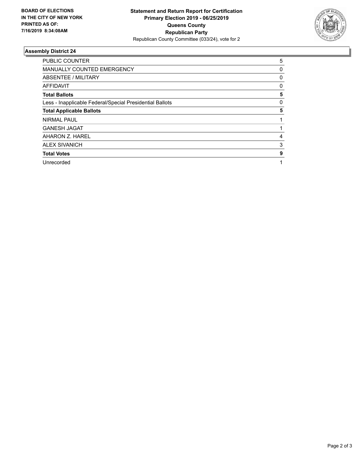

## **Assembly District 24**

| PUBLIC COUNTER                                           | 5            |
|----------------------------------------------------------|--------------|
| <b>MANUALLY COUNTED EMERGENCY</b>                        | 0            |
| ABSENTEE / MILITARY                                      | 0            |
| AFFIDAVIT                                                | $\mathbf{0}$ |
| <b>Total Ballots</b>                                     | 5            |
| Less - Inapplicable Federal/Special Presidential Ballots | 0            |
| <b>Total Applicable Ballots</b>                          | 5            |
| <b>NIRMAL PAUL</b>                                       |              |
| <b>GANESH JAGAT</b>                                      |              |
| AHARON Z. HAREL                                          | 4            |
| <b>ALEX SIVANICH</b>                                     | 3            |
| <b>Total Votes</b>                                       | 9            |
| Unrecorded                                               |              |